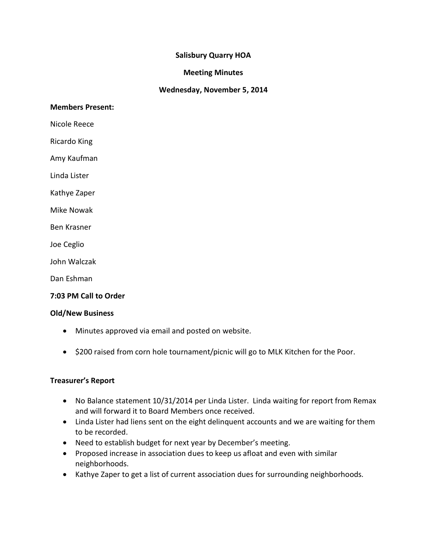# **Salisbury Quarry HOA**

## **Meeting Minutes**

### **Wednesday, November 5, 2014**

#### **Members Present:**

Nicole Reece

Ricardo King

Amy Kaufman

Linda Lister

Kathye Zaper

Mike Nowak

Ben Krasner

Joe Ceglio

John Walczak

Dan Eshman

### **7:03 PM Call to Order**

### **Old/New Business**

- Minutes approved via email and posted on website.
- $\bullet$  \$200 raised from corn hole tournament/picnic will go to MLK Kitchen for the Poor.

### **Treasurer's Report**

- No Balance statement 10/31/2014 per Linda Lister. Linda waiting for report from Remax and will forward it to Board Members once received.
- Linda Lister had liens sent on the eight delinquent accounts and we are waiting for them to be recorded.
- Need to establish budget for next year by December's meeting.
- Proposed increase in association dues to keep us afloat and even with similar neighborhoods.
- Kathye Zaper to get a list of current association dues for surrounding neighborhoods.